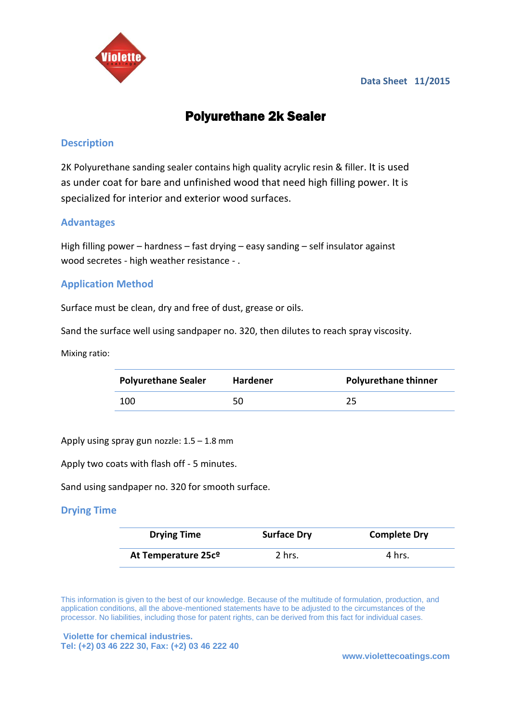

#### **Data Sheet 11/2015**

# Polyurethane 2k Sealer

## **Description**

2K Polyurethane sanding sealer contains high quality acrylic resin & filler. It is used as under coat for bare and unfinished wood that need high filling power. It is specialized for interior and exterior wood surfaces.

## **Advantages**

High filling power – hardness – fast drying – easy sanding – self insulator against wood secretes - high weather resistance - .

## **Application Method**

Surface must be clean, dry and free of dust, grease or oils.

Sand the surface well using sandpaper no. 320, then dilutes to reach spray viscosity.

Mixing ratio:

| <b>Polyurethane Sealer</b> | <b>Hardener</b> | <b>Polyurethane thinner</b> |
|----------------------------|-----------------|-----------------------------|
| 100                        | 50              | 25                          |

Apply using spray gun nozzle: 1.5 – 1.8 mm

Apply two coats with flash off - 5 minutes.

Sand using sandpaper no. 320 for smooth surface.

#### **Drying Time**

| <b>Drying Time</b>  | <b>Surface Dry</b> | <b>Complete Dry</b> |
|---------------------|--------------------|---------------------|
| At Temperature 25cº | 2 hrs.             | 4 hrs.              |

This information is given to the best of our knowledge. Because of the multitude of formulation, production, and application conditions, all the above-mentioned statements have to be adjusted to the circumstances of the processor. No liabilities, including those for patent rights, can be derived from this fact for individual cases.

**Violette for chemical industries. [Tel: \(+2\)](Tel:(+2)) 03 46 222 30, Fax: (+2) 03 46 222 40**

**www.violettecoatings.com**